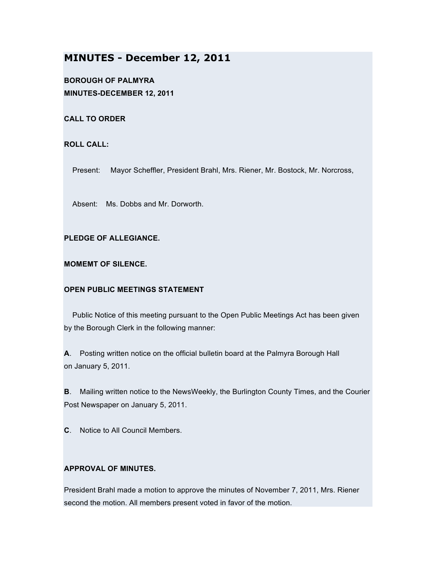# **MINUTES - December 12, 2011**

**BOROUGH OF PALMYRA MINUTES-DECEMBER 12, 2011**

**CALL TO ORDER**

**ROLL CALL:**

Present: Mayor Scheffler, President Brahl, Mrs. Riener, Mr. Bostock, Mr. Norcross,

Absent: Ms. Dobbs and Mr. Dorworth.

**PLEDGE OF ALLEGIANCE.**

**MOMEMT OF SILENCE.**

## **OPEN PUBLIC MEETINGS STATEMENT**

Public Notice of this meeting pursuant to the Open Public Meetings Act has been given by the Borough Clerk in the following manner:

**A**. Posting written notice on the official bulletin board at the Palmyra Borough Hall on January 5, 2011.

**B**. Mailing written notice to the NewsWeekly, the Burlington County Times, and the Courier Post Newspaper on January 5, 2011.

**C**. Notice to All Council Members.

## **APPROVAL OF MINUTES.**

President Brahl made a motion to approve the minutes of November 7, 2011, Mrs. Riener second the motion. All members present voted in favor of the motion.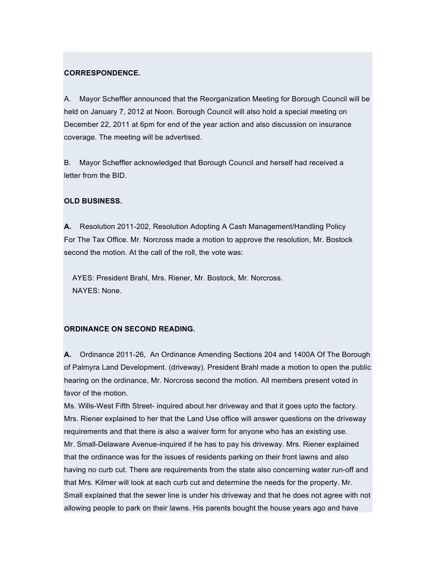#### **CORRESPONDENCE.**

A. Mayor Scheffler announced that the Reorganization Meeting for Borough Council will be held on January 7, 2012 at Noon. Borough Council will also hold a special meeting on December 22, 2011 at 6pm for end of the year action and also discussion on insurance coverage. The meeting will be advertised.

B. Mayor Scheffler acknowledged that Borough Council and herself had received a letter from the BID.

#### **OLD BUSINESS.**

**A.** Resolution 2011-202, Resolution Adopting A Cash Management/Handling Policy For The Tax Office. Mr. Norcross made a motion to approve the resolution, Mr. Bostock second the motion. At the call of the roll, the vote was:

AYES: President Brahl, Mrs. Riener, Mr. Bostock, Mr. Norcross. NAYES: None.

### **ORDINANCE ON SECOND READING.**

**A.** Ordinance 2011-26, An Ordinance Amending Sections 204 and 1400A Of The Borough of Palmyra Land Development. (driveway). President Brahl made a motion to open the public hearing on the ordinance, Mr. Norcross second the motion. All members present voted in favor of the motion.

Ms. Wills-West Fifth Street- inquired about her driveway and that it goes upto the factory. Mrs. Riener explained to her that the Land Use office will answer questions on the driveway requirements and that there is also a waiver form for anyone who has an existing use. Mr. Small-Delaware Avenue-inquired if he has to pay his driveway. Mrs. Riener explained that the ordinance was for the issues of residents parking on their front lawns and also having no curb cut. There are requirements from the state also concerning water run-off and that Mrs. Kilmer will look at each curb cut and determine the needs for the property. Mr. Small explained that the sewer line is under his driveway and that he does not agree with not allowing people to park on their lawns. His parents bought the house years ago and have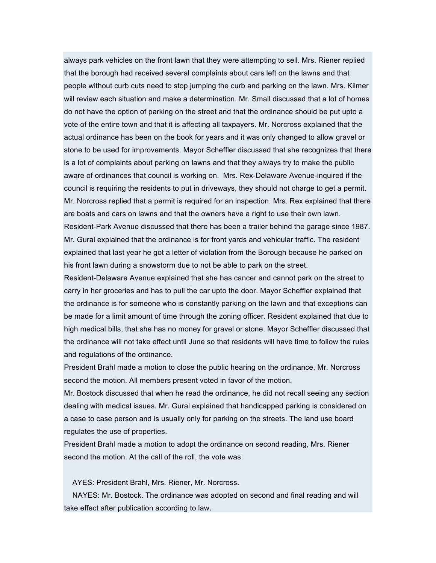always park vehicles on the front lawn that they were attempting to sell. Mrs. Riener replied that the borough had received several complaints about cars left on the lawns and that people without curb cuts need to stop jumping the curb and parking on the lawn. Mrs. Kilmer will review each situation and make a determination. Mr. Small discussed that a lot of homes do not have the option of parking on the street and that the ordinance should be put upto a vote of the entire town and that it is affecting all taxpayers. Mr. Norcross explained that the actual ordinance has been on the book for years and it was only changed to allow gravel or stone to be used for improvements. Mayor Scheffler discussed that she recognizes that there is a lot of complaints about parking on lawns and that they always try to make the public aware of ordinances that council is working on. Mrs. Rex-Delaware Avenue-inquired if the council is requiring the residents to put in driveways, they should not charge to get a permit. Mr. Norcross replied that a permit is required for an inspection. Mrs. Rex explained that there are boats and cars on lawns and that the owners have a right to use their own lawn. Resident-Park Avenue discussed that there has been a trailer behind the garage since 1987. Mr. Gural explained that the ordinance is for front yards and vehicular traffic. The resident explained that last year he got a letter of violation from the Borough because he parked on

his front lawn during a snowstorm due to not be able to park on the street.

Resident-Delaware Avenue explained that she has cancer and cannot park on the street to carry in her groceries and has to pull the car upto the door. Mayor Scheffler explained that the ordinance is for someone who is constantly parking on the lawn and that exceptions can be made for a limit amount of time through the zoning officer. Resident explained that due to high medical bills, that she has no money for gravel or stone. Mayor Scheffler discussed that the ordinance will not take effect until June so that residents will have time to follow the rules and regulations of the ordinance.

President Brahl made a motion to close the public hearing on the ordinance, Mr. Norcross second the motion. All members present voted in favor of the motion.

Mr. Bostock discussed that when he read the ordinance, he did not recall seeing any section dealing with medical issues. Mr. Gural explained that handicapped parking is considered on a case to case person and is usually only for parking on the streets. The land use board regulates the use of properties.

President Brahl made a motion to adopt the ordinance on second reading, Mrs. Riener second the motion. At the call of the roll, the vote was:

AYES: President Brahl, Mrs. Riener, Mr. Norcross.

NAYES: Mr. Bostock. The ordinance was adopted on second and final reading and will take effect after publication according to law.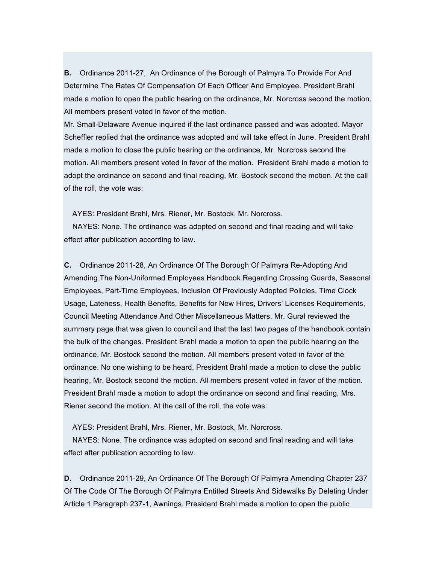**B.** Ordinance 2011-27, An Ordinance of the Borough of Palmyra To Provide For And Determine The Rates Of Compensation Of Each Officer And Employee. President Brahl made a motion to open the public hearing on the ordinance, Mr. Norcross second the motion. All members present voted in favor of the motion.

Mr. Small-Delaware Avenue inquired if the last ordinance passed and was adopted. Mayor Scheffler replied that the ordinance was adopted and will take effect in June. President Brahl made a motion to close the public hearing on the ordinance, Mr. Norcross second the motion. All members present voted in favor of the motion. President Brahl made a motion to adopt the ordinance on second and final reading, Mr. Bostock second the motion. At the call of the roll, the vote was:

AYES: President Brahl, Mrs. Riener, Mr. Bostock, Mr. Norcross.

NAYES: None. The ordinance was adopted on second and final reading and will take effect after publication according to law.

**C.** Ordinance 2011-28, An Ordinance Of The Borough Of Palmyra Re-Adopting And Amending The Non-Uniformed Employees Handbook Regarding Crossing Guards, Seasonal Employees, Part-Time Employees, Inclusion Of Previously Adopted Policies, Time Clock Usage, Lateness, Health Benefits, Benefits for New Hires, Drivers' Licenses Requirements, Council Meeting Attendance And Other Miscellaneous Matters. Mr. Gural reviewed the summary page that was given to council and that the last two pages of the handbook contain the bulk of the changes. President Brahl made a motion to open the public hearing on the ordinance, Mr. Bostock second the motion. All members present voted in favor of the ordinance. No one wishing to be heard, President Brahl made a motion to close the public hearing, Mr. Bostock second the motion. All members present voted in favor of the motion. President Brahl made a motion to adopt the ordinance on second and final reading, Mrs. Riener second the motion. At the call of the roll, the vote was:

AYES: President Brahl, Mrs. Riener, Mr. Bostock, Mr. Norcross.

NAYES: None. The ordinance was adopted on second and final reading and will take effect after publication according to law.

**D.** Ordinance 2011-29, An Ordinance Of The Borough Of Palmyra Amending Chapter 237 Of The Code Of The Borough Of Palmyra Entitled Streets And Sidewalks By Deleting Under Article 1 Paragraph 237-1, Awnings. President Brahl made a motion to open the public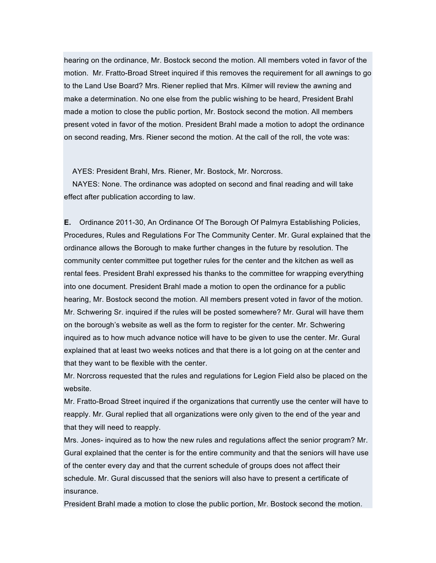hearing on the ordinance, Mr. Bostock second the motion. All members voted in favor of the motion. Mr. Fratto-Broad Street inquired if this removes the requirement for all awnings to go to the Land Use Board? Mrs. Riener replied that Mrs. Kilmer will review the awning and make a determination. No one else from the public wishing to be heard, President Brahl made a motion to close the public portion, Mr. Bostock second the motion. All members present voted in favor of the motion. President Brahl made a motion to adopt the ordinance on second reading, Mrs. Riener second the motion. At the call of the roll, the vote was:

AYES: President Brahl, Mrs. Riener, Mr. Bostock, Mr. Norcross.

NAYES: None. The ordinance was adopted on second and final reading and will take effect after publication according to law.

**E.** Ordinance 2011-30, An Ordinance Of The Borough Of Palmyra Establishing Policies, Procedures, Rules and Regulations For The Community Center. Mr. Gural explained that the ordinance allows the Borough to make further changes in the future by resolution. The community center committee put together rules for the center and the kitchen as well as rental fees. President Brahl expressed his thanks to the committee for wrapping everything into one document. President Brahl made a motion to open the ordinance for a public hearing, Mr. Bostock second the motion. All members present voted in favor of the motion. Mr. Schwering Sr. inquired if the rules will be posted somewhere? Mr. Gural will have them on the borough's website as well as the form to register for the center. Mr. Schwering inquired as to how much advance notice will have to be given to use the center. Mr. Gural explained that at least two weeks notices and that there is a lot going on at the center and that they want to be flexible with the center.

Mr. Norcross requested that the rules and regulations for Legion Field also be placed on the website.

Mr. Fratto-Broad Street inquired if the organizations that currently use the center will have to reapply. Mr. Gural replied that all organizations were only given to the end of the year and that they will need to reapply.

Mrs. Jones- inquired as to how the new rules and regulations affect the senior program? Mr. Gural explained that the center is for the entire community and that the seniors will have use of the center every day and that the current schedule of groups does not affect their schedule. Mr. Gural discussed that the seniors will also have to present a certificate of insurance.

President Brahl made a motion to close the public portion, Mr. Bostock second the motion.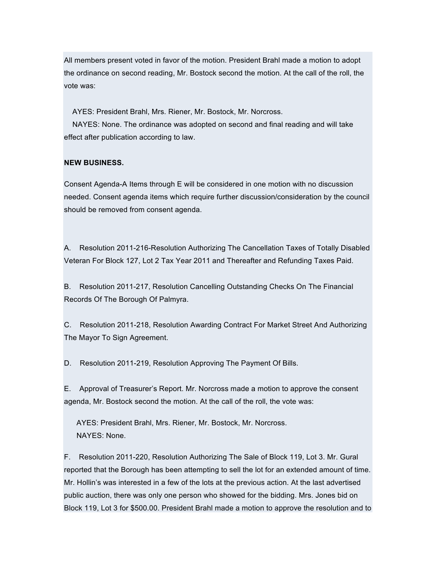All members present voted in favor of the motion. President Brahl made a motion to adopt the ordinance on second reading, Mr. Bostock second the motion. At the call of the roll, the vote was:

AYES: President Brahl, Mrs. Riener, Mr. Bostock, Mr. Norcross.

NAYES: None. The ordinance was adopted on second and final reading and will take effect after publication according to law.

### **NEW BUSINESS.**

Consent Agenda-A Items through E will be considered in one motion with no discussion needed. Consent agenda items which require further discussion/consideration by the council should be removed from consent agenda.

A. Resolution 2011-216-Resolution Authorizing The Cancellation Taxes of Totally Disabled Veteran For Block 127, Lot 2 Tax Year 2011 and Thereafter and Refunding Taxes Paid.

B. Resolution 2011-217, Resolution Cancelling Outstanding Checks On The Financial Records Of The Borough Of Palmyra.

C. Resolution 2011-218, Resolution Awarding Contract For Market Street And Authorizing The Mayor To Sign Agreement.

D. Resolution 2011-219, Resolution Approving The Payment Of Bills.

E. Approval of Treasurer's Report. Mr. Norcross made a motion to approve the consent agenda, Mr. Bostock second the motion. At the call of the roll, the vote was:

AYES: President Brahl, Mrs. Riener, Mr. Bostock, Mr. Norcross. NAYES: None.

F. Resolution 2011-220, Resolution Authorizing The Sale of Block 119, Lot 3. Mr. Gural reported that the Borough has been attempting to sell the lot for an extended amount of time. Mr. Hollin's was interested in a few of the lots at the previous action. At the last advertised public auction, there was only one person who showed for the bidding. Mrs. Jones bid on Block 119, Lot 3 for \$500.00. President Brahl made a motion to approve the resolution and to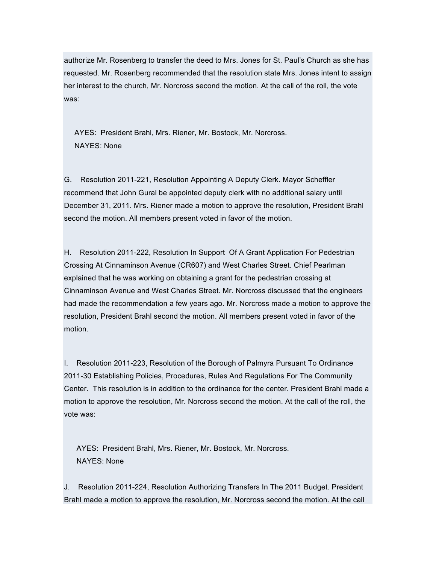authorize Mr. Rosenberg to transfer the deed to Mrs. Jones for St. Paul's Church as she has requested. Mr. Rosenberg recommended that the resolution state Mrs. Jones intent to assign her interest to the church, Mr. Norcross second the motion. At the call of the roll, the vote was:

AYES: President Brahl, Mrs. Riener, Mr. Bostock, Mr. Norcross. NAYES: None

G. Resolution 2011-221, Resolution Appointing A Deputy Clerk. Mayor Scheffler recommend that John Gural be appointed deputy clerk with no additional salary until December 31, 2011. Mrs. Riener made a motion to approve the resolution, President Brahl second the motion. All members present voted in favor of the motion.

H. Resolution 2011-222, Resolution In Support Of A Grant Application For Pedestrian Crossing At Cinnaminson Avenue (CR607) and West Charles Street. Chief Pearlman explained that he was working on obtaining a grant for the pedestrian crossing at Cinnaminson Avenue and West Charles Street. Mr. Norcross discussed that the engineers had made the recommendation a few years ago. Mr. Norcross made a motion to approve the resolution, President Brahl second the motion. All members present voted in favor of the motion.

I. Resolution 2011-223, Resolution of the Borough of Palmyra Pursuant To Ordinance 2011-30 Establishing Policies, Procedures, Rules And Regulations For The Community Center. This resolution is in addition to the ordinance for the center. President Brahl made a motion to approve the resolution, Mr. Norcross second the motion. At the call of the roll, the vote was:

AYES: President Brahl, Mrs. Riener, Mr. Bostock, Mr. Norcross. NAYES: None

J. Resolution 2011-224, Resolution Authorizing Transfers In The 2011 Budget. President Brahl made a motion to approve the resolution, Mr. Norcross second the motion. At the call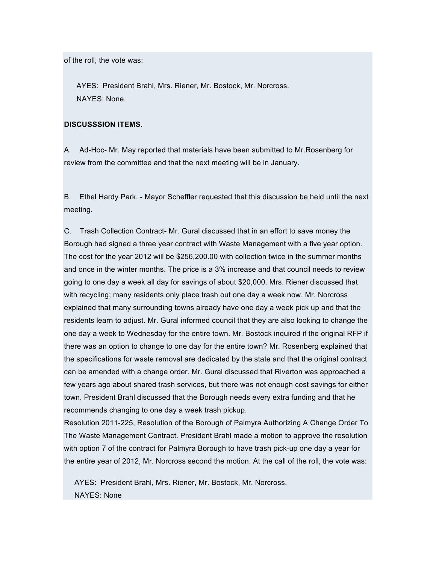of the roll, the vote was:

AYES: President Brahl, Mrs. Riener, Mr. Bostock, Mr. Norcross. NAYES: None.

## **DISCUSSSION ITEMS.**

A. Ad-Hoc- Mr. May reported that materials have been submitted to Mr.Rosenberg for review from the committee and that the next meeting will be in January.

B. Ethel Hardy Park. - Mayor Scheffler requested that this discussion be held until the next meeting.

C. Trash Collection Contract- Mr. Gural discussed that in an effort to save money the Borough had signed a three year contract with Waste Management with a five year option. The cost for the year 2012 will be \$256,200.00 with collection twice in the summer months and once in the winter months. The price is a 3% increase and that council needs to review going to one day a week all day for savings of about \$20,000. Mrs. Riener discussed that with recycling; many residents only place trash out one day a week now. Mr. Norcross explained that many surrounding towns already have one day a week pick up and that the residents learn to adjust. Mr. Gural informed council that they are also looking to change the one day a week to Wednesday for the entire town. Mr. Bostock inquired if the original RFP if there was an option to change to one day for the entire town? Mr. Rosenberg explained that the specifications for waste removal are dedicated by the state and that the original contract can be amended with a change order. Mr. Gural discussed that Riverton was approached a few years ago about shared trash services, but there was not enough cost savings for either town. President Brahl discussed that the Borough needs every extra funding and that he recommends changing to one day a week trash pickup.

Resolution 2011-225, Resolution of the Borough of Palmyra Authorizing A Change Order To The Waste Management Contract. President Brahl made a motion to approve the resolution with option 7 of the contract for Palmyra Borough to have trash pick-up one day a year for the entire year of 2012, Mr. Norcross second the motion. At the call of the roll, the vote was:

AYES: President Brahl, Mrs. Riener, Mr. Bostock, Mr. Norcross. NAYES: None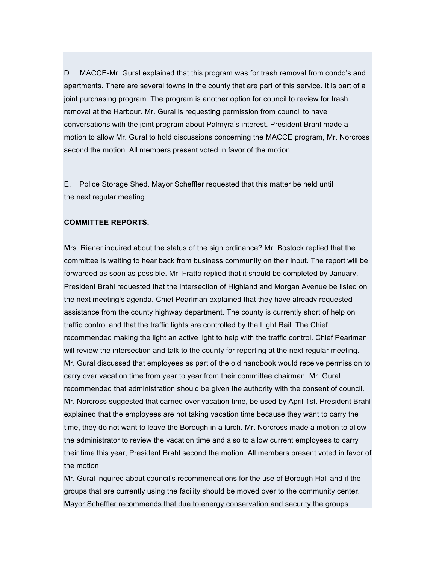D. MACCE-Mr. Gural explained that this program was for trash removal from condo's and apartments. There are several towns in the county that are part of this service. It is part of a joint purchasing program. The program is another option for council to review for trash removal at the Harbour. Mr. Gural is requesting permission from council to have conversations with the joint program about Palmyra's interest. President Brahl made a motion to allow Mr. Gural to hold discussions concerning the MACCE program, Mr. Norcross second the motion. All members present voted in favor of the motion.

E. Police Storage Shed. Mayor Scheffler requested that this matter be held until the next regular meeting.

### **COMMITTEE REPORTS.**

Mrs. Riener inquired about the status of the sign ordinance? Mr. Bostock replied that the committee is waiting to hear back from business community on their input. The report will be forwarded as soon as possible. Mr. Fratto replied that it should be completed by January. President Brahl requested that the intersection of Highland and Morgan Avenue be listed on the next meeting's agenda. Chief Pearlman explained that they have already requested assistance from the county highway department. The county is currently short of help on traffic control and that the traffic lights are controlled by the Light Rail. The Chief recommended making the light an active light to help with the traffic control. Chief Pearlman will review the intersection and talk to the county for reporting at the next regular meeting. Mr. Gural discussed that employees as part of the old handbook would receive permission to carry over vacation time from year to year from their committee chairman. Mr. Gural recommended that administration should be given the authority with the consent of council. Mr. Norcross suggested that carried over vacation time, be used by April 1st. President Brahl explained that the employees are not taking vacation time because they want to carry the time, they do not want to leave the Borough in a lurch. Mr. Norcross made a motion to allow the administrator to review the vacation time and also to allow current employees to carry their time this year, President Brahl second the motion. All members present voted in favor of the motion.

Mr. Gural inquired about council's recommendations for the use of Borough Hall and if the groups that are currently using the facility should be moved over to the community center. Mayor Scheffler recommends that due to energy conservation and security the groups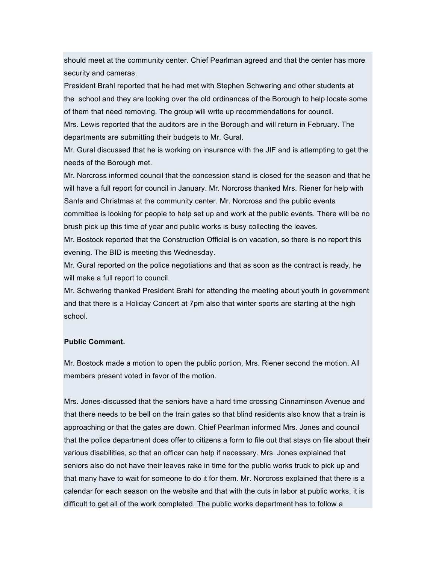should meet at the community center. Chief Pearlman agreed and that the center has more security and cameras.

President Brahl reported that he had met with Stephen Schwering and other students at the school and they are looking over the old ordinances of the Borough to help locate some of them that need removing. The group will write up recommendations for council.

Mrs. Lewis reported that the auditors are in the Borough and will return in February. The departments are submitting their budgets to Mr. Gural.

Mr. Gural discussed that he is working on insurance with the JIF and is attempting to get the needs of the Borough met.

Mr. Norcross informed council that the concession stand is closed for the season and that he will have a full report for council in January. Mr. Norcross thanked Mrs. Riener for help with Santa and Christmas at the community center. Mr. Norcross and the public events committee is looking for people to help set up and work at the public events. There will be no brush pick up this time of year and public works is busy collecting the leaves.

Mr. Bostock reported that the Construction Official is on vacation, so there is no report this evening. The BID is meeting this Wednesday.

Mr. Gural reported on the police negotiations and that as soon as the contract is ready, he will make a full report to council.

Mr. Schwering thanked President Brahl for attending the meeting about youth in government and that there is a Holiday Concert at 7pm also that winter sports are starting at the high school.

## **Public Comment.**

Mr. Bostock made a motion to open the public portion, Mrs. Riener second the motion. All members present voted in favor of the motion.

Mrs. Jones-discussed that the seniors have a hard time crossing Cinnaminson Avenue and that there needs to be bell on the train gates so that blind residents also know that a train is approaching or that the gates are down. Chief Pearlman informed Mrs. Jones and council that the police department does offer to citizens a form to file out that stays on file about their various disabilities, so that an officer can help if necessary. Mrs. Jones explained that seniors also do not have their leaves rake in time for the public works truck to pick up and that many have to wait for someone to do it for them. Mr. Norcross explained that there is a calendar for each season on the website and that with the cuts in labor at public works, it is difficult to get all of the work completed. The public works department has to follow a